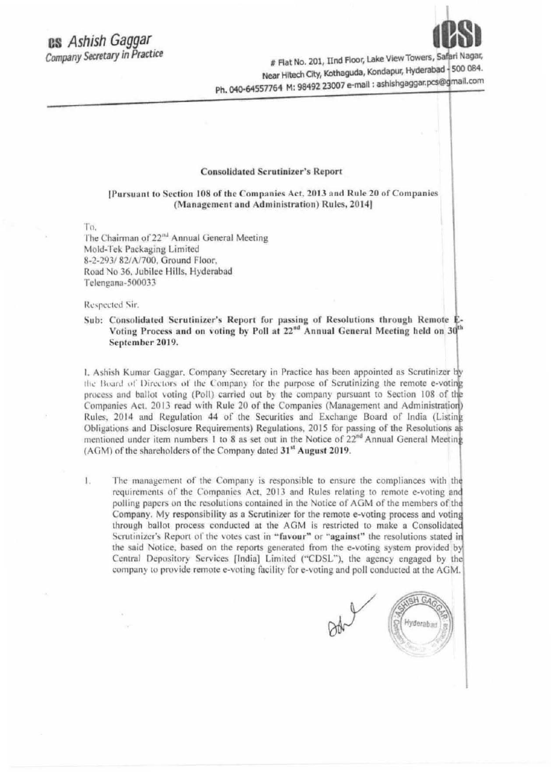# **BS** Ashish Gaggar Company Secretary in Practice



# Flat No. 201, IInd Floor, Lake View Towers, Safari Nagar, Near Hitech City, Kothaguda, Kondapur, Hyderabad - 500 084. Ph. 040-64557764 M: 98492 23007 e-mail : ashishgaggar.pcs@gmail.com

#### **Consolidated Scrutinizer's Report**

[Pursuant to Section 108 of the Companies Act, 2013 and Rule 20 of Companies (Management and Administration) Rules, 2014]

To.

The Chairman of 22<sup>nd</sup> Annual General Meeting Mold-Tek Packaging Limited 8-2-293/82/A/700, Ground Floor, Road No 36, Jubilee Hills, Hyderabad Telengana-500033

Respected Sir.

## Sub: Consolidated Scrutinizer's Report for passing of Resolutions through Remote E-Voting Process and on voting by Poll at 22<sup>nd</sup> Annual General Meeting held on 30<sup>th</sup> September 2019.

1. Ashish Kumar Gaggar, Company Secretary in Practice has been appointed as Scrutinizer by the Board of Directors of the Company for the purpose of Scrutinizing the remote e-voting process and ballot voting (Poll) carried out by the company pursuant to Section 108 of the Companies Act. 2013 read with Rule 20 of the Companies (Management and Administration) Rules, 2014 and Regulation 44 of the Securities and Exchange Board of India (Listing Obligations and Disclosure Requirements) Regulations, 2015 for passing of the Resolutions as mentioned under item numbers 1 to 8 as set out in the Notice of 22<sup>nd</sup> Annual General Meeting (AGM) of the shareholders of the Company dated 31<sup>st</sup> August 2019.

The management of the Company is responsible to ensure the compliances with the  $1.$ requirements of the Companies Act, 2013 and Rules relating to remote e-voting and polling papers on the resolutions contained in the Notice of AGM of the members of the Company. My responsibility as a Scrutinizer for the remote e-voting process and voting through ballot process conducted at the AGM is restricted to make a Consolidated Scrutinizer's Report of the votes cast in "favour" or "against" the resolutions stated in the said Notice, based on the reports generated from the e-voting system provided by Central Depository Services [India] Limited ("CDSL"), the agency engaged by the company to provide remote e-voting facility for e-voting and poll conducted at the AGM.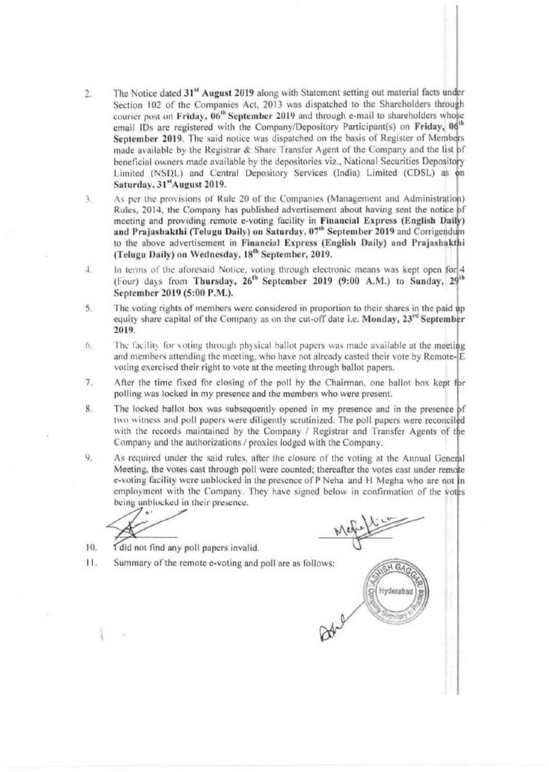- The Notice dated 31<sup>st</sup> August 2019 along with Statement setting out material facts under  $2.$ Section 102 of the Companies Act, 2013 was dispatched to the Shareholders through courier post on Friday, 06<sup>th</sup> September 2019 and through e-mail to shareholders whose email IDs are registered with the Company/Depository Participant(s) on Friday, 06<sup>th</sup> September 2019. The said notice was dispatched on the basis of Register of Members made available by the Registrar & Share Transfer Agent of the Company and the list of beneficial owners made available by the depositories viz., National Securities Depository Limited (NSDL) and Central Depository Services (India) Limited (CDSL) as on Saturday, 31st August 2019.
- As per the provisions of Rule 20 of the Companies (Management and Administration)  $\overline{3}$ . Rules, 2014, the Company has published advertisement about having sent the notice of meeting and providing remote e-voting facility in Financial Express (English Daily) and Prajashakthi (Telugu Daily) on Saturday, 07<sup>th</sup> September 2019 and Corrigendum to the above advertisement in Financial Express (English Daily) and Prajashakthi (Telugu Daily) on Wednesday, 18<sup>th</sup> September, 2019.
- In terms of the aforesaid Notice, voting through electronic means was kept open for 4  $4.$ (Four) days from Thursday, 26<sup>th</sup> September 2019 (9:00 A.M.) to Sunday, 29<sup>th</sup> September 2019 (5:00 P.M.).
- The voting rights of members were considered in proportion to their shares in the paid up 5. equity share capital of the Company as on the cut-off date i.e. Monday, 23<sup>rd</sup> September 2019.
- The facility for voting through physical ballot papers was made available at the meeting  $6.$ and members attending the meeting, who have not already casted their vote by Remote-E voting exercised their right to vote at the meeting through ballot papers.
- $7.$ After the time fixed for closing of the poll by the Chairman, one ballot box kept for polling was locked in my presence and the members who were present.
- The locked ballot box was subsequently opened in my presence and in the presence of 8. two witness and poll papers were diligently scrutinized. The poll papers were reconciled with the records maintained by the Company / Registrar and Transfer Agents of the Company and the authorizations / proxies lodged with the Company.
- 9. As required under the said rules, after the closure of the voting at the Annual General Meeting, the votes cast through poll were counted; thereafter the votes cast under remote e-voting facility were unblocked in the presence of P Neha and H Megha who are not in employment with the Company. They have signed below in confirmation of the votes being unblocked in their presence.

- 10. I did not find any poll papers invalid.
- 11. Summary of the remote e-voting and poll are as follows:

H GA Hyderabad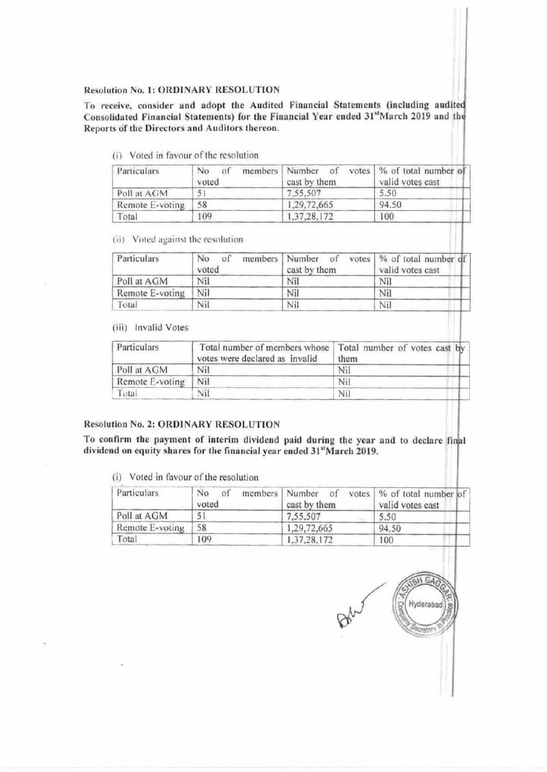#### **Resolution No. 1: ORDINARY RESOLUTION**

To receive, consider and adopt the Audited Financial Statements (including audited Consolidated Financial Statements) for the Financial Year ended 31stMarch 2019 and the Reports of the Directors and Auditors thereon.

(i) Voted in favour of the resolution

| Particulars     | members   Number<br>No<br>of<br>voted | of<br>cast by them | votes   % of total number of<br>valid votes cast |
|-----------------|---------------------------------------|--------------------|--------------------------------------------------|
| Poll at AGM     | 5                                     | 7.55.507           | 5.50                                             |
| Remote E-voting | 58                                    | 1,29,72,665        | 94.50                                            |
| Total           | 109                                   | 1,37,28,172        | 100                                              |

(ii) Voted against the resolution

| Particulars     | No.<br>voted | members Number of<br>cast by them | votes   % of total number of<br>valid votes cast |
|-----------------|--------------|-----------------------------------|--------------------------------------------------|
| Poll at AGM     | Nil          | Nil                               | Nil                                              |
| Remote E-voting | Nil          | Nil                               | Nil                                              |
| Total           | Nil          | Nil                               | Nil                                              |

(iii) Invalid Votes

| Particulars     | Total number of members whose Total number of votes cast by<br>votes were declared as invalid | them |
|-----------------|-----------------------------------------------------------------------------------------------|------|
| Poll at AGM     | Nil                                                                                           | Nil  |
| Remote E-voting | Nil                                                                                           | Nil  |
| Total           | Nil                                                                                           | Nil  |

## **Resolution No. 2: ORDINARY RESOLUTION**

To confirm the payment of interim dividend paid during the year and to declare final dividend on equity shares for the financial year ended 31stMarch 2019.

(i) Voted in favour of the resolution

| Particulars     | No<br>of<br>voted | members   Number of<br>cast by them | votes   % of total number of<br>valid votes cast |
|-----------------|-------------------|-------------------------------------|--------------------------------------------------|
| Poll at AGM     | 51                | 7.55.507                            | 5.50                                             |
| Remote E-voting | 58                | 1,29,72,665                         | 94.50                                            |
| Total           | 109               | 1,37,28,172                         | 100                                              |

 $HGA$ Hyderabad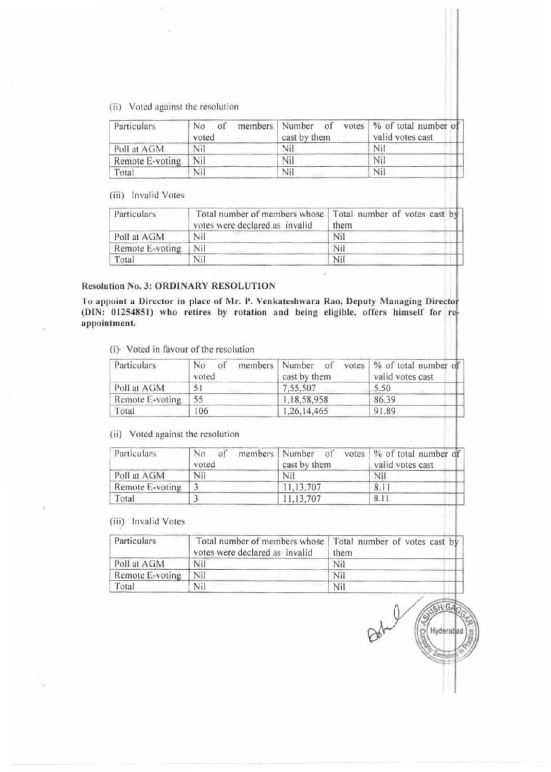(ii) Voted against the resolution

| Particulars     | No<br>of<br>voted | members Number of<br>cast by them | votes   % of total number of<br>valid votes cast |
|-----------------|-------------------|-----------------------------------|--------------------------------------------------|
| Poll at AGM     | Nil               | Nil                               | Nil                                              |
| Remote E-voting | Nil               | Nil                               | Nil                                              |
| Total           | Nil               | Nil                               | Nil                                              |

(iii) Invalid Votes

| Particulars     | Total number of members whose   Total number of votes cast by<br>votes were declared as invalid | them |
|-----------------|-------------------------------------------------------------------------------------------------|------|
| Poll at AGM     | Nil                                                                                             | Nil  |
| Remote E-voting | Nil                                                                                             | Nil  |
| Total           | Nil                                                                                             | Nil  |

## Resolution No. 3: ORDINARY RESOLUTION

To appoint a Director in place of Mr. P. Venkateshwara Rao, Deputy Managing Director (DIN: 01254851) who retires by rotation and being eligible, offers himself for reappointment.

(i) Voted in favour of the resolution

| Particulars     | No<br>of<br>members<br>voted | of<br>  Number<br>cast by them | votes   % of total number of<br>valid votes cast |
|-----------------|------------------------------|--------------------------------|--------------------------------------------------|
| Poll at AGM     | 5                            | 7.55.507                       | 5.50                                             |
| Remote E-voting | 55                           | 1.18.58.958                    | 86.39                                            |
| Total           | 106                          | 1,26,14,465                    | 91.89                                            |

(ii) Voted against the resolution

| <b>Particulars</b> | No<br>O <sub>1</sub><br>voted | members Number of<br>cast by them | votes % of total number of<br>valid votes cast |
|--------------------|-------------------------------|-----------------------------------|------------------------------------------------|
| Poll at AGM        | Nil                           | Nil                               | Nil                                            |
| Remote E-voting    |                               | 11.13.707                         | 8.1                                            |
| Total              |                               | 11,13,707                         | 8.11                                           |

(iii) Invalid Votes

| Particulars     | Total number of members whose   Total number of votes cast by<br>votes were declared as invalid | them |
|-----------------|-------------------------------------------------------------------------------------------------|------|
| Poll at AGM     | Nil                                                                                             | Nil  |
| Remote E-voting | Nil                                                                                             | Ni   |
| Total           | Nil                                                                                             | Ni.  |

 $E$  H  $G$ Hyderabad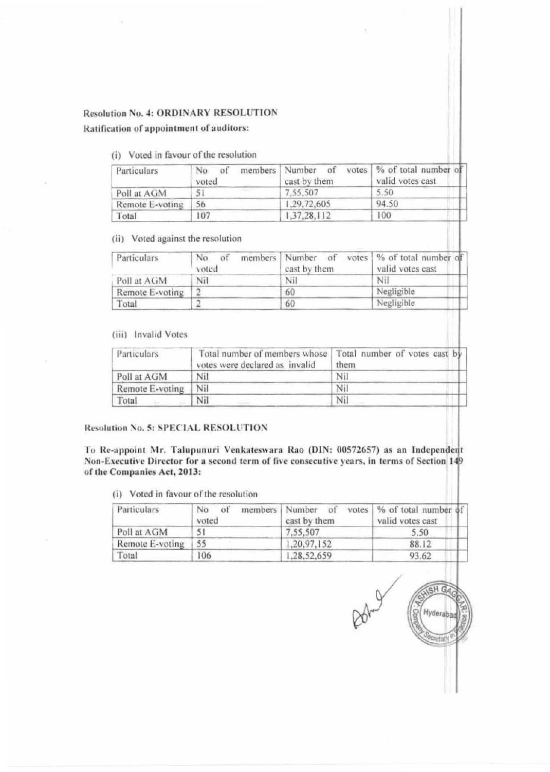## **Resolution No. 4: ORDINARY RESOLUTION**

Ratification of appointment of auditors:

(i) Voted in favour of the resolution

| Particulars     | members   Number<br>No.<br>voted | of<br>cast by them | votes   % of total number of<br>valid votes cast |
|-----------------|----------------------------------|--------------------|--------------------------------------------------|
| Poll at AGM     | <b><i>Charles Co.</i></b><br>5'  | 7.55.507           | 5.50                                             |
| Remote E-voting | 56                               | 1.29,72,605        | 94.50                                            |
| Total           | 107                              | 1,37,28,112        | 100                                              |

(ii) Voted against the resolution

| Particulars     | No<br>voted | members Number of<br>cast by them | votes   % of total number of<br>valid votes cast |
|-----------------|-------------|-----------------------------------|--------------------------------------------------|
| Poll at AGM     | Nil         | Nil                               | Nil                                              |
| Remote E-voting |             | 60                                | Negligible                                       |
| Total           |             | 60                                | Negligible                                       |

## (iii) Invalid Votes

| Particulars     | votes were declared as invalid | Total number of members whose   Total number of votes cast by<br>them |
|-----------------|--------------------------------|-----------------------------------------------------------------------|
| Poll at AGM     | Nil                            | Nil                                                                   |
| Remote E-voting | Nil                            | Nil                                                                   |
| Total           | Nil                            | Ni                                                                    |

#### Resolution No. 5: SPECIAL RESOLUTION

To Re-appoint Mr. Talupunuri Venkateswara Rao (DIN: 00572657) as an Independent Non-Executive Director for a second term of five consecutive years, in terms of Section 149 of the Companies Act, 2013:

(i) Voted in favour of the resolution

| Particulars     | of<br>members Number<br>No<br>voted | of<br>cast by them | votes   % of total number of  <br>valid votes cast |
|-----------------|-------------------------------------|--------------------|----------------------------------------------------|
| Poll at AGM     |                                     | 7.55.507           | 5.50                                               |
| Remote E-voting | 55                                  | 1,20,97,152        | 88.12                                              |
| Total           | 106                                 | 1.28.52,659        | 93.62                                              |

SH G Hyderaba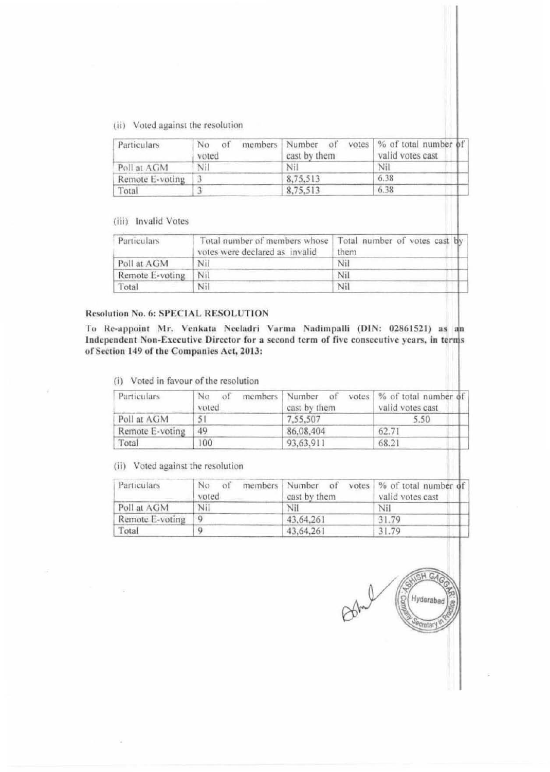(ii) Voted against the resolution

| Particulars     | No<br>of<br>voted | members Number of<br>cast by them | votes   % of total number of<br>valid votes cast |
|-----------------|-------------------|-----------------------------------|--------------------------------------------------|
| Poll at AGM     | Nil               | Nil                               | Nil                                              |
| Remote E-voting |                   | 8,75,513                          | 6.38                                             |
| Total           |                   | 8,75,513                          | 6.38                                             |

## (iii) Invalid Votes

| <b>Particulars</b> | Total number of members whose<br>votes were declared as invalid | Total number of votes cast by<br>them |
|--------------------|-----------------------------------------------------------------|---------------------------------------|
| Poll at AGM        | Nil                                                             | Nil                                   |
| Remote E-voting    | Nil                                                             | Nil                                   |
| Total              | Nil                                                             | Nil                                   |

## Resolution No. 6: SPECIAL RESOLUTION

To Re-appoint Mr. Venkata Neeladri Varma Nadimpalli (DIN: 02861521) as an Independent Non-Executive Director for a second term of five consecutive years, in terms of Section 149 of the Companies Act, 2013:

(i) Voted in favour of the resolution

| Particulars     | of<br>No<br>voted | members   Number<br>of<br>cast by them | votes $\%$ of total number of<br>valid votes cast |
|-----------------|-------------------|----------------------------------------|---------------------------------------------------|
| Poll at AGM     | 5                 | 7.55.507                               | 5.50                                              |
| Remote E-voting | 49                | 86,08,404                              | 62.71                                             |
| Total           | 00                | 93,63,911                              | 68.21                                             |

(ii) Voted against the resolution

| Particulars     | No<br>of<br>voted | members Number of<br>cast by them | votes % of total number of<br>valid votes cast |
|-----------------|-------------------|-----------------------------------|------------------------------------------------|
| Poll at AGM     | Nil               | Nil                               | Nil                                            |
| Remote E-voting | -9                | 43,64,261                         | 31.79                                          |
| Total           | 9                 | 43.64.261                         | 31.79                                          |

 $H G$ Hyderabad **Pretar**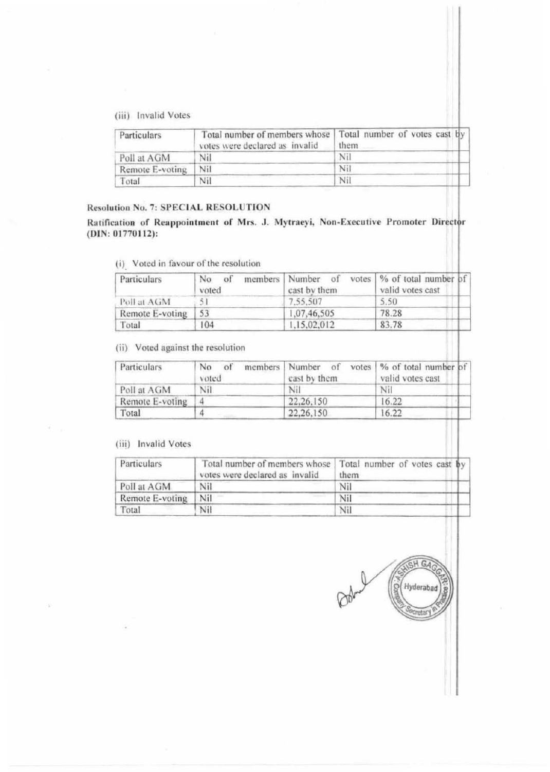(iii) Invalid Votes

| Particulars     | votes were declared as invalid | Total number of members whose   Total number of votes cast by<br>them |
|-----------------|--------------------------------|-----------------------------------------------------------------------|
| Poll at AGM     | Nil                            | Nil                                                                   |
| Remote E-voting | Nil                            | Nil                                                                   |
| Total           | Nil                            | Nil                                                                   |

# Resolution No. 7: SPECIAL RESOLUTION

Ratification of Reappointment of Mrs. J. Mytraeyi, Non-Executive Promoter Director (DIN: 01770112):

(i) Voted in favour of the resolution

| Particulars     | of<br>No.<br>voted | members Number of<br>cast by them | votes   % of total number of<br>valid votes cast |
|-----------------|--------------------|-----------------------------------|--------------------------------------------------|
| Poll at AGM     |                    | 7.55.507                          | 5.50                                             |
| Remote E-voting | 53                 | 1,07,46,505                       | 78.28                                            |
| Total           | 104                | 1,15,02,012                       | 83.78                                            |

(ii) Voted against the resolution

| Particulars     | No<br>members   Number<br>of<br>voted | of<br>cast by them. | votes   % of total number of<br>valid votes cast |
|-----------------|---------------------------------------|---------------------|--------------------------------------------------|
| Poll at AGM     | Nil                                   | Nil                 | Nil                                              |
| Remote E-voting |                                       | 22, 26, 150         | 16.22                                            |
| Total           |                                       | 22.26.150           | 16.22                                            |

## (iii) Invalid Votes

| Particulars     | Total number of members whose   Total number of votes cast by<br>votes were declared as invalid | them |
|-----------------|-------------------------------------------------------------------------------------------------|------|
| Poll at AGM     | Nil                                                                                             | Nil  |
| Remote E-voting | Nil                                                                                             | Nil  |
| Total           | Nil                                                                                             | Nil  |

SH GA S Hyderabad retar